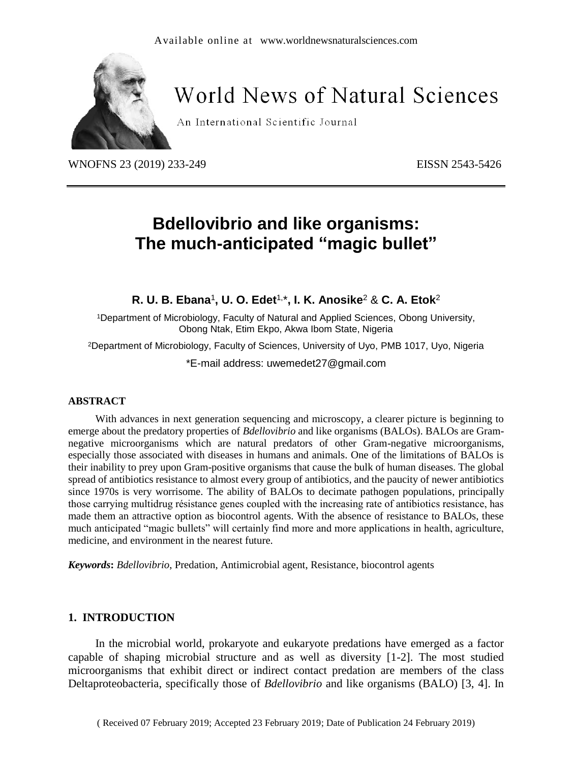

# **World News of Natural Sciences**

An International Scientific Journal

WNOFNS 23 (2019) 233-249 EISSN 2543-5426

## **Bdellovibrio and like organisms: The much-anticipated "magic bullet"**

**R. U. B. Ebana**<sup>1</sup> **, U. O. Edet**1, \***, I. K. Anosike**<sup>2</sup> & **C. A. Etok**<sup>2</sup>

<sup>1</sup>Department of Microbiology, Faculty of Natural and Applied Sciences, Obong University, Obong Ntak, Etim Ekpo, Akwa Ibom State, Nigeria

<sup>2</sup>Department of Microbiology, Faculty of Sciences, University of Uyo, PMB 1017, Uyo, Nigeria

\*E-mail address: uwemedet27@gmail.com

#### **ABSTRACT**

With advances in next generation sequencing and microscopy, a clearer picture is beginning to emerge about the predatory properties of *Bdellovibrio* and like organisms (BALOs). BALOs are Gramnegative microorganisms which are natural predators of other Gram-negative microorganisms, especially those associated with diseases in humans and animals. One of the limitations of BALOs is their inability to prey upon Gram-positive organisms that cause the bulk of human diseases. The global spread of antibiotics resistance to almost every group of antibiotics, and the paucity of newer antibiotics since 1970s is very worrisome. The ability of BALOs to decimate pathogen populations, principally those carrying multidrug résistance genes coupled with the increasing rate of antibiotics resistance, has made them an attractive option as biocontrol agents. With the absence of resistance to BALOs, these much anticipated "magic bullets" will certainly find more and more applications in health, agriculture, medicine, and environment in the nearest future.

*Keywords***:** *Bdellovibrio*, Predation, Antimicrobial agent, Resistance, biocontrol agents

#### **1. INTRODUCTION**

In the microbial world, prokaryote and eukaryote predations have emerged as a factor capable of shaping microbial structure and as well as diversity [1-2]. The most studied microorganisms that exhibit direct or indirect contact predation are members of the class Deltaproteobacteria, specifically those of *Bdellovibrio* and like organisms (BALO) [3, 4]. In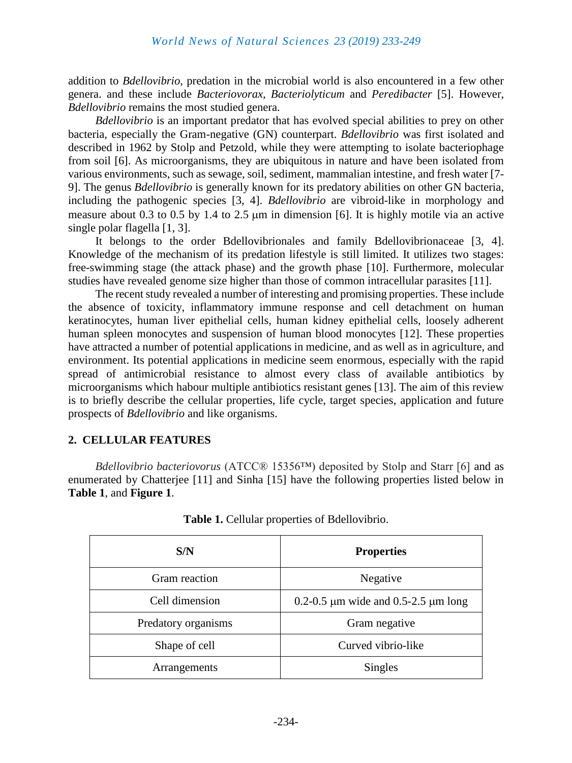addition to *Bdellovibrio*, predation in the microbial world is also encountered in a few other genera. and these include *Bacteriovorax, Bacteriolyticum* and *Peredibacter* [5]. However, *Bdellovibrio* remains the most studied genera.

*Bdellovibrio* is an important predator that has evolved special abilities to prey on other bacteria, especially the Gram-negative (GN) counterpart. *Bdellovibrio* was first isolated and described in 1962 by Stolp and Petzold, while they were attempting to isolate bacteriophage from soil [6]. As microorganisms, they are ubiquitous in nature and have been isolated from various environments, such as sewage, soil, sediment, mammalian intestine, and fresh water [7- 9]. The genus *Bdellovibrio* is generally known for its predatory abilities on other GN bacteria, including the pathogenic species [3, 4]. *Bdellovibrio* are vibroid-like in morphology and measure about 0.3 to 0.5 by 1.4 to 2.5  $\mu$ m in dimension [6]. It is highly motile via an active single polar flagella [1, 3].

It belongs to the order Bdellovibrionales and family Bdellovibrionaceae [3, 4]. Knowledge of the mechanism of its predation lifestyle is still limited. It utilizes two stages: free-swimming stage (the attack phase) and the growth phase [10]. Furthermore, molecular studies have revealed genome size higher than those of common intracellular parasites [11].

The recent study revealed a number of interesting and promising properties. These include the absence of toxicity, inflammatory immune response and cell detachment on human keratinocytes, human liver epithelial cells, human kidney epithelial cells, loosely adherent human spleen monocytes and suspension of human blood monocytes [12]. These properties have attracted a number of potential applications in medicine, and as well as in agriculture, and environment. Its potential applications in medicine seem enormous, especially with the rapid spread of antimicrobial resistance to almost every class of available antibiotics by microorganisms which habour multiple antibiotics resistant genes [13]. The aim of this review is to briefly describe the cellular properties, life cycle, target species, application and future prospects of *Bdellovibrio* and like organisms.

#### **2. CELLULAR FEATURES**

*Bdellovibrio bacteriovorus* (ATCC® 15356™) deposited by Stolp and Starr [6] and as enumerated by Chatterjee [11] and Sinha [15] have the following properties listed below in **Table 1**, and **Figure 1**.

| S/N                 | <b>Properties</b>                             |
|---------------------|-----------------------------------------------|
| Gram reaction       | Negative                                      |
| Cell dimension      | 0.2-0.5 $\mu$ m wide and 0.5-2.5 $\mu$ m long |
| Predatory organisms | Gram negative                                 |
| Shape of cell       | Curved vibrio-like                            |
| Arrangements        | Singles                                       |

**Table 1.** Cellular properties of Bdellovibrio.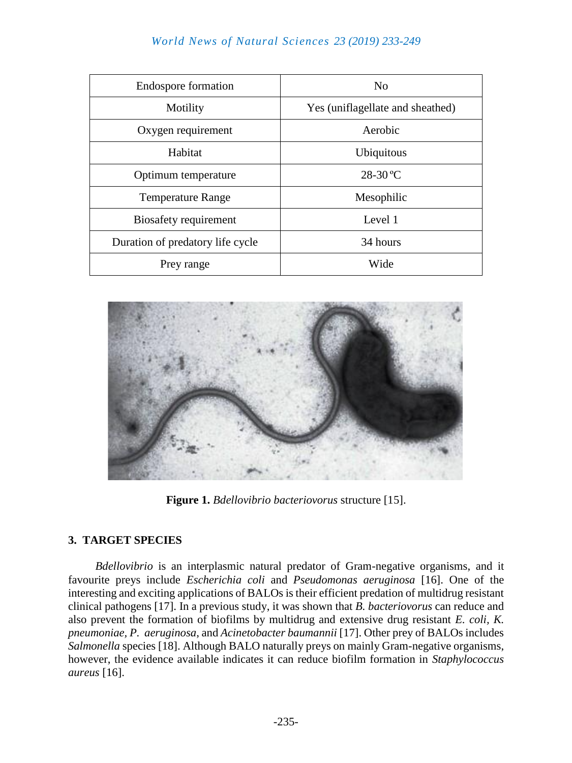## *World News of Natural Sciences 23 (2019) 233-249*

| <b>Endospore formation</b>       | No                               |
|----------------------------------|----------------------------------|
| Motility                         | Yes (uniflagellate and sheathed) |
| Oxygen requirement               | Aerobic                          |
| Habitat                          | Ubiquitous                       |
| Optimum temperature              | $28-30$ °C                       |
| <b>Temperature Range</b>         | Mesophilic                       |
| Biosafety requirement            | Level 1                          |
| Duration of predatory life cycle | 34 hours                         |
| Prey range                       | Wide                             |



**Figure 1.** *Bdellovibrio bacteriovorus* structure [15].

#### **3. TARGET SPECIES**

*Bdellovibrio* is an interplasmic natural predator of Gram-negative organisms, and it favourite preys include *Escherichia coli* and *Pseudomonas aeruginosa* [16]. One of the interesting and exciting applications of BALOs is their efficient predation of multidrug resistant clinical pathogens [17]. In a previous study, it was shown that *B. bacteriovorus* can reduce and also prevent the formation of biofilms by multidrug and extensive drug resistant *E. coli, K. pneumoniae, P. aeruginosa*, and *Acinetobacter baumannii* [17]. Other prey of BALOs includes *Salmonella* species [18]. Although BALO naturally preys on mainly Gram-negative organisms, however, the evidence available indicates it can reduce biofilm formation in *Staphylococcus aureus* [16].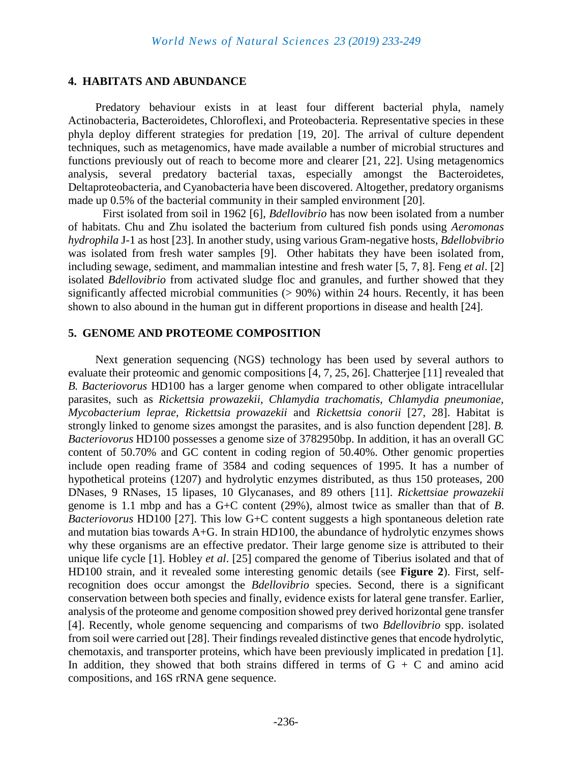#### **4. HABITATS AND ABUNDANCE**

Predatory behaviour exists in at least four different bacterial phyla, namely Actinobacteria, Bacteroidetes, Chloroflexi, and Proteobacteria. Representative species in these phyla deploy different strategies for predation [19, 20]. The arrival of culture dependent techniques, such as metagenomics, have made available a number of microbial structures and functions previously out of reach to become more and clearer [21, 22]. Using metagenomics analysis, several predatory bacterial taxas, especially amongst the Bacteroidetes, Deltaproteobacteria, and Cyanobacteria have been discovered. Altogether, predatory organisms made up 0.5% of the bacterial community in their sampled environment [20].

First isolated from soil in 1962 [6], *Bdellovibrio* has now been isolated from a number of habitats. Chu and Zhu isolated the bacterium from cultured fish ponds using *Aeromonas hydrophila* J-1 as host [23]. In another study, using various Gram-negative hosts, *Bdellobvibrio* was isolated from fresh water samples [9]. Other habitats they have been isolated from, including sewage, sediment, and mammalian intestine and fresh water [5, 7, 8]. Feng *et al*. [2] isolated *Bdellovibrio* from activated sludge floc and granules, and further showed that they significantly affected microbial communities  $(> 90\%)$  within 24 hours. Recently, it has been shown to also abound in the human gut in different proportions in disease and health [24].

#### **5. GENOME AND PROTEOME COMPOSITION**

Next generation sequencing (NGS) technology has been used by several authors to evaluate their proteomic and genomic compositions [4, 7, 25, 26]. Chatterjee [11] revealed that *B. Bacteriovorus* HD100 has a larger genome when compared to other obligate intracellular parasites, such as *Rickettsia prowazekii, Chlamydia trachomatis, Chlamydia pneumoniae, Mycobacterium leprae, Rickettsia prowazekii* and *Rickettsia conorii* [27, 28]. Habitat is strongly linked to genome sizes amongst the parasites, and is also function dependent [28]. *B. Bacteriovorus* HD100 possesses a genome size of 3782950bp. In addition, it has an overall GC content of 50.70% and GC content in coding region of 50.40%. Other genomic properties include open reading frame of 3584 and coding sequences of 1995. It has a number of hypothetical proteins (1207) and hydrolytic enzymes distributed, as thus 150 proteases, 200 DNases, 9 RNases, 15 lipases, 10 Glycanases, and 89 others [11]. *Rickettsiae prowazekii*  genome is 1.1 mbp and has a G+C content (29%), almost twice as smaller than that of *B*. *Bacteriovorus* HD100 [27]. This low G+C content suggests a high spontaneous deletion rate and mutation bias towards A+G. In strain HD100, the abundance of hydrolytic enzymes shows why these organisms are an effective predator. Their large genome size is attributed to their unique life cycle [1]. Hobley *et al*. [25] compared the genome of Tiberius isolated and that of HD100 strain, and it revealed some interesting genomic details (see **Figure 2**). First, selfrecognition does occur amongst the *Bdellovibrio* species. Second, there is a significant conservation between both species and finally, evidence exists for lateral gene transfer. Earlier, analysis of the proteome and genome composition showed prey derived horizontal gene transfer [4]. Recently, whole genome sequencing and comparisms of two *Bdellovibrio* spp. isolated from soil were carried out [28]. Their findings revealed distinctive genes that encode hydrolytic, chemotaxis, and transporter proteins, which have been previously implicated in predation [1]. In addition, they showed that both strains differed in terms of  $G + C$  and amino acid compositions, and 16S rRNA gene sequence.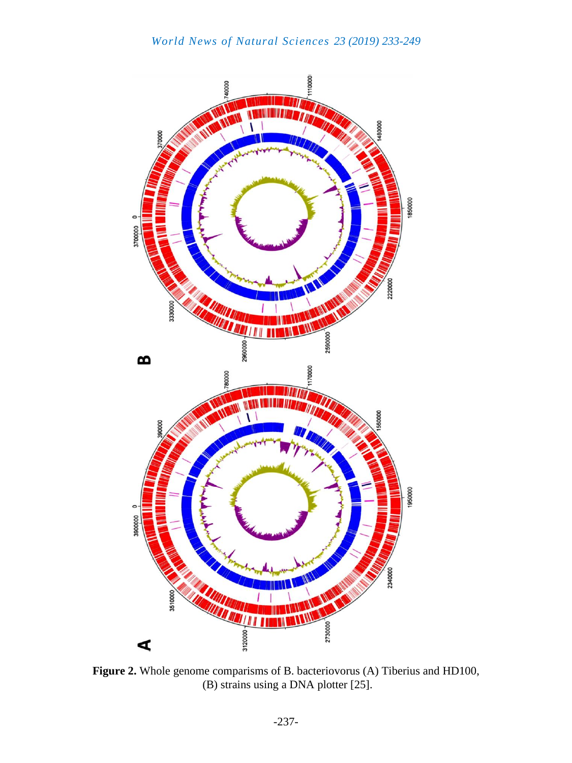

**Figure 2.** Whole genome comparisms of B. bacteriovorus (A) Tiberius and HD100, (B) strains using a DNA plotter [25].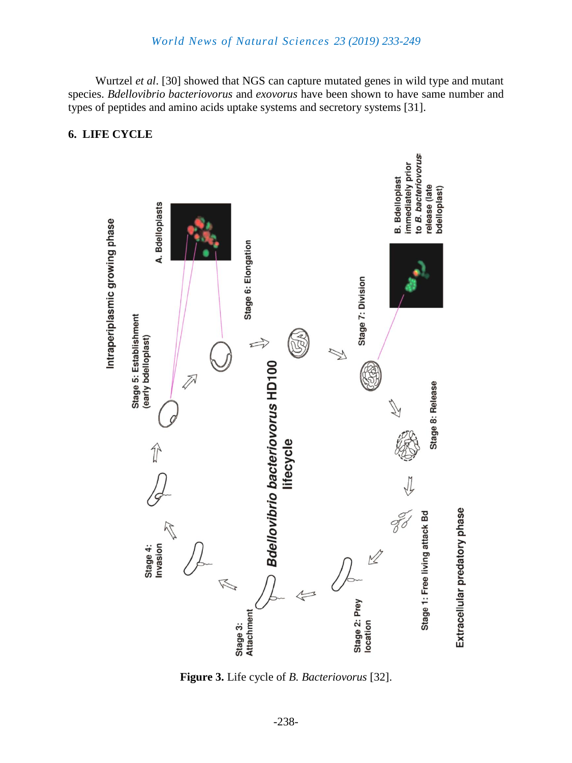Wurtzel *et al*. [30] showed that NGS can capture mutated genes in wild type and mutant species. *Bdellovibrio bacteriovorus* and *exovorus* have been shown to have same number and types of peptides and amino acids uptake systems and secretory systems [31].

#### **6. LIFE CYCLE**



**Figure 3.** Life cycle of *B. Bacteriovorus* [32].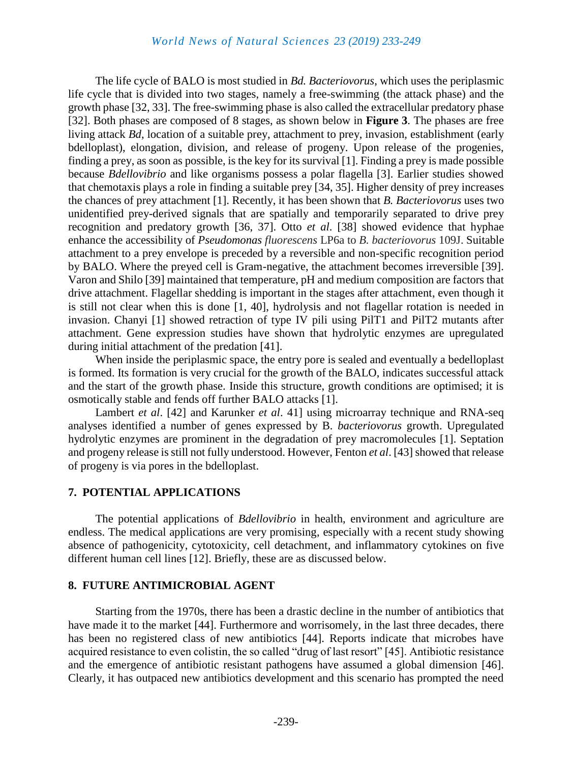#### *World News of Natural Sciences 23 (2019) 233-249*

The life cycle of BALO is most studied in *Bd. Bacteriovorus*, which uses the periplasmic life cycle that is divided into two stages, namely a free-swimming (the attack phase) and the growth phase [32, 33]. The free-swimming phase is also called the extracellular predatory phase [32]. Both phases are composed of 8 stages, as shown below in **Figure 3**. The phases are free living attack *Bd*, location of a suitable prey, attachment to prey, invasion, establishment (early bdelloplast), elongation, division, and release of progeny. Upon release of the progenies, finding a prey, as soon as possible, is the key for its survival [1]. Finding a prey is made possible because *Bdellovibrio* and like organisms possess a polar flagella [3]. Earlier studies showed that chemotaxis plays a role in finding a suitable prey [34, 35]. Higher density of prey increases the chances of prey attachment [1]. Recently, it has been shown that *B. Bacteriovorus* uses two unidentified prey-derived signals that are spatially and temporarily separated to drive prey recognition and predatory growth [36, 37]. Otto *et al*. [38] showed evidence that hyphae enhance the accessibility of *Pseudomonas fluorescens* LP6a to *B. bacteriovorus* 109J. Suitable attachment to a prey envelope is preceded by a reversible and non-specific recognition period by BALO. Where the preyed cell is Gram-negative, the attachment becomes irreversible [39]. Varon and Shilo [39] maintained that temperature, pH and medium composition are factors that drive attachment. Flagellar shedding is important in the stages after attachment, even though it is still not clear when this is done [1, 40], hydrolysis and not flagellar rotation is needed in invasion. Chanyi [1] showed retraction of type IV pili using PilT1 and PilT2 mutants after attachment. Gene expression studies have shown that hydrolytic enzymes are upregulated during initial attachment of the predation [41].

When inside the periplasmic space, the entry pore is sealed and eventually a bedelloplast is formed. Its formation is very crucial for the growth of the BALO, indicates successful attack and the start of the growth phase. Inside this structure, growth conditions are optimised; it is osmotically stable and fends off further BALO attacks [1].

Lambert *et al*. [42] and Karunker *et al*. 41] using microarray technique and RNA-seq analyses identified a number of genes expressed by B*. bacteriovorus* growth. Upregulated hydrolytic enzymes are prominent in the degradation of prey macromolecules [1]. Septation and progeny release is still not fully understood. However, Fenton *et al*. [43] showed that release of progeny is via pores in the bdelloplast.

#### **7. POTENTIAL APPLICATIONS**

The potential applications of *Bdellovibrio* in health, environment and agriculture are endless. The medical applications are very promising, especially with a recent study showing absence of pathogenicity, cytotoxicity, cell detachment, and inflammatory cytokines on five different human cell lines [12]. Briefly, these are as discussed below.

#### **8. FUTURE ANTIMICROBIAL AGENT**

Starting from the 1970s, there has been a drastic decline in the number of antibiotics that have made it to the market [44]. Furthermore and worrisomely, in the last three decades, there has been no registered class of new antibiotics [44]. Reports indicate that microbes have acquired resistance to even colistin, the so called "drug of last resort" [45]. Antibiotic resistance and the emergence of antibiotic resistant pathogens have assumed a global dimension [46]. Clearly, it has outpaced new antibiotics development and this scenario has prompted the need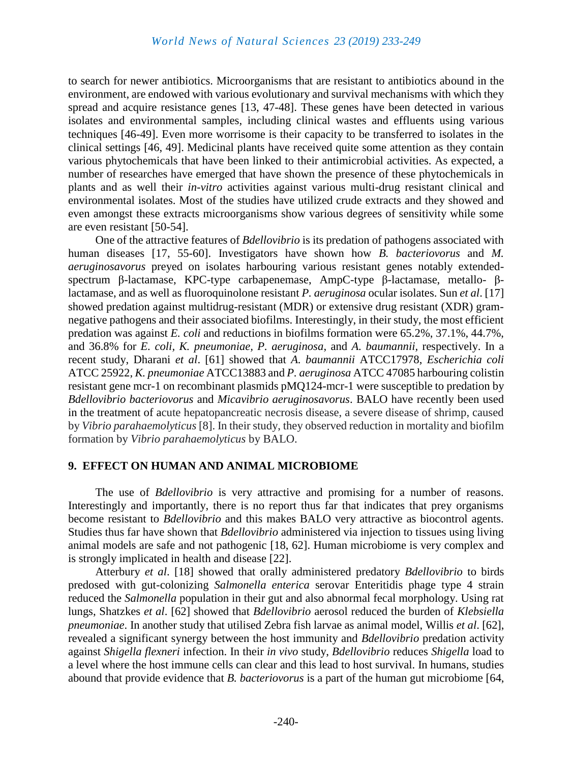to search for newer antibiotics. Microorganisms that are resistant to antibiotics abound in the environment, are endowed with various evolutionary and survival mechanisms with which they spread and acquire resistance genes [13, 47-48]. These genes have been detected in various isolates and environmental samples, including clinical wastes and effluents using various techniques [46-49]. Even more worrisome is their capacity to be transferred to isolates in the clinical settings [46, 49]. Medicinal plants have received quite some attention as they contain various phytochemicals that have been linked to their antimicrobial activities. As expected, a number of researches have emerged that have shown the presence of these phytochemicals in plants and as well their *in-vitro* activities against various multi-drug resistant clinical and environmental isolates. Most of the studies have utilized crude extracts and they showed and even amongst these extracts microorganisms show various degrees of sensitivity while some are even resistant [50-54].

One of the attractive features of *Bdellovibrio* is its predation of pathogens associated with human diseases [17, 55-60]. Investigators have shown how *B. bacteriovorus* and *M. aeruginosavorus* preyed on isolates harbouring various resistant genes notably extendedspectrum β-lactamase, KPC-type carbapenemase, AmpC-type β-lactamase, metallo- βlactamase, and as well as fluoroquinolone resistant *P. aeruginosa* ocular isolates. Sun *et al*. [17] showed predation against multidrug-resistant (MDR) or extensive drug resistant (XDR) gramnegative pathogens and their associated biofilms. Interestingly, in their study, the most efficient predation was against *E. coli* and reductions in biofilms formation were 65.2%, 37.1%, 44.7%, and 36.8% for *E. coli, K. pneumoniae, P. aeruginosa*, and *A. baumannii,* respectively. In a recent study, Dharani *et al*. [61] showed that *A. baumannii* ATCC17978, *Escherichia coli* ATCC 25922, *K. pneumoniae* ATCC13883 and *P. aeruginosa* ATCC 47085 harbouring colistin resistant gene mcr-1 on recombinant plasmids pMQ124-mcr-1 were susceptible to predation by *Bdellovibrio bacteriovorus* and *Micavibrio aeruginosavorus*. BALO have recently been used in the treatment of acute hepatopancreatic necrosis disease, a severe disease of shrimp, caused by *Vibrio parahaemolyticus* [8]. In their study, they observed reduction in mortality and biofilm formation by *Vibrio parahaemolyticus* by BALO.

#### **9. EFFECT ON HUMAN AND ANIMAL MICROBIOME**

The use of *Bdellovibrio* is very attractive and promising for a number of reasons. Interestingly and importantly, there is no report thus far that indicates that prey organisms become resistant to *Bdellovibrio* and this makes BALO very attractive as biocontrol agents. Studies thus far have shown that *Bdellovibrio* administered via injection to tissues using living animal models are safe and not pathogenic [18, 62]. Human microbiome is very complex and is strongly implicated in health and disease [22].

Atterbury *et al*. [18] showed that orally administered predatory *Bdellovibrio* to birds predosed with gut-colonizing *Salmonella enterica* serovar Enteritidis phage type 4 strain reduced the *Salmonella* population in their gut and also abnormal fecal morphology. Using rat lungs, Shatzkes *et al*. [62] showed that *Bdellovibrio* aerosol reduced the burden of *Klebsiella pneumoniae*. In another study that utilised Zebra fish larvae as animal model, Willis *et al*. [62], revealed a significant synergy between the host immunity and *Bdellovibrio* predation activity against *Shigella flexneri* infection. In their *in vivo* study, *Bdellovibrio* reduces *Shigella* load to a level where the host immune cells can clear and this lead to host survival. In humans, studies abound that provide evidence that *B. bacteriovorus* is a part of the human gut microbiome [64,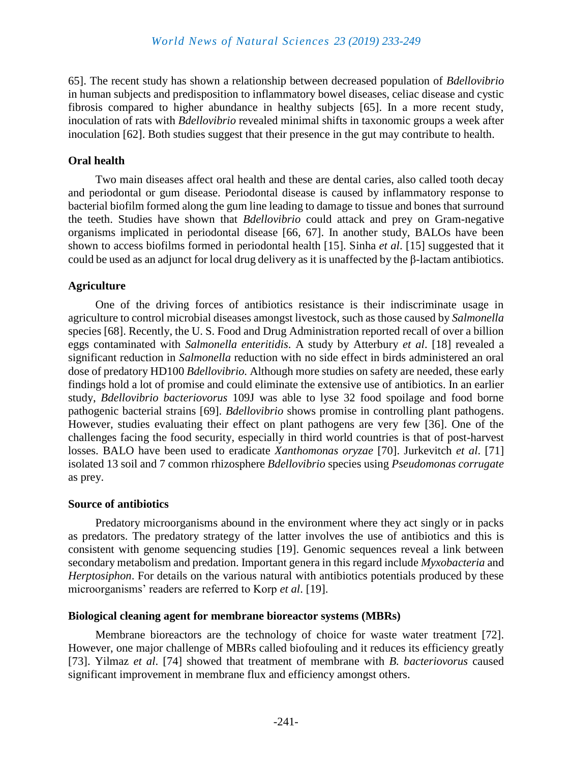65]. The recent study has shown a relationship between decreased population of *Bdellovibrio* in human subjects and predisposition to inflammatory bowel diseases, celiac disease and cystic fibrosis compared to higher abundance in healthy subjects [65]. In a more recent study, inoculation of rats with *Bdellovibrio* revealed minimal shifts in taxonomic groups a week after inoculation [62]. Both studies suggest that their presence in the gut may contribute to health.

## **Oral health**

Two main diseases affect oral health and these are dental caries, also called tooth decay and periodontal or gum disease. Periodontal disease is caused by inflammatory response to bacterial biofilm formed along the gum line leading to damage to tissue and bones that surround the teeth. Studies have shown that *Bdellovibrio* could attack and prey on Gram-negative organisms implicated in periodontal disease [66, 67]. In another study, BALOs have been shown to access biofilms formed in periodontal health [15]. Sinha *et al*. [15] suggested that it could be used as an adjunct for local drug delivery as it is unaffected by the β-lactam antibiotics.

## **Agriculture**

One of the driving forces of antibiotics resistance is their indiscriminate usage in agriculture to control microbial diseases amongst livestock, such as those caused by *Salmonella* species [68]. Recently, the U. S. Food and Drug Administration reported recall of over a billion eggs contaminated with *Salmonella enteritidis*. A study by Atterbury *et al*. [18] revealed a significant reduction in *Salmonella* reduction with no side effect in birds administered an oral dose of predatory HD100 *Bdellovibrio.* Although more studies on safety are needed, these early findings hold a lot of promise and could eliminate the extensive use of antibiotics. In an earlier study, *Bdellovibrio bacteriovorus* 109J was able to lyse 32 food spoilage and food borne pathogenic bacterial strains [69]. *Bdellovibrio* shows promise in controlling plant pathogens. However, studies evaluating their effect on plant pathogens are very few [36]. One of the challenges facing the food security, especially in third world countries is that of post-harvest losses. BALO have been used to eradicate *Xanthomonas oryzae* [70]. Jurkevitch *et al*. [71] isolated 13 soil and 7 common rhizosphere *Bdellovibrio* species using *Pseudomonas corrugate* as prey.

## **Source of antibiotics**

Predatory microorganisms abound in the environment where they act singly or in packs as predators. The predatory strategy of the latter involves the use of antibiotics and this is consistent with genome sequencing studies [19]. Genomic sequences reveal a link between secondary metabolism and predation. Important genera in this regard include *Myxobacteria* and *Herptosiphon*. For details on the various natural with antibiotics potentials produced by these microorganisms' readers are referred to Korp *et al*. [19].

## **Biological cleaning agent for membrane bioreactor systems (MBRs)**

Membrane bioreactors are the technology of choice for waste water treatment [72]. However, one major challenge of MBRs called biofouling and it reduces its efficiency greatly [73]. Yilmaz *et al*. [74] showed that treatment of membrane with *B. bacteriovorus* caused significant improvement in membrane flux and efficiency amongst others.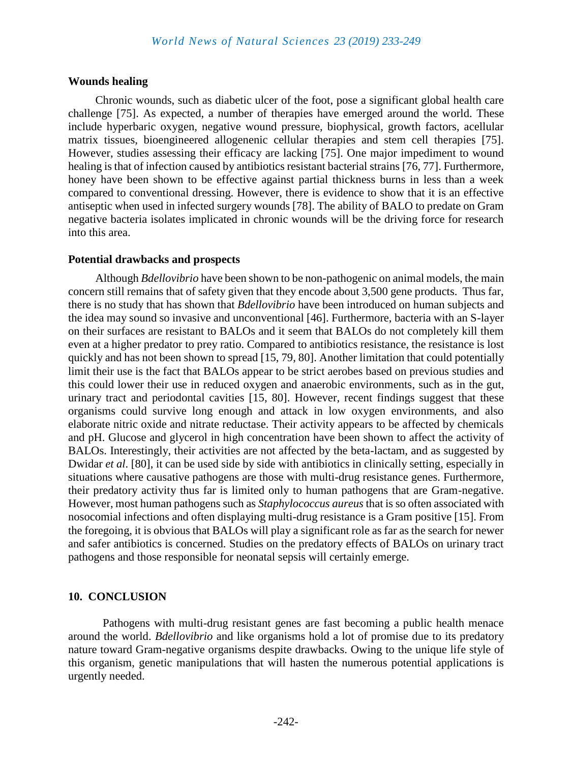#### **Wounds healing**

Chronic wounds, such as diabetic ulcer of the foot, pose a significant global health care challenge [75]. As expected, a number of therapies have emerged around the world. These include hyperbaric oxygen, negative wound pressure, biophysical, growth factors, acellular matrix tissues, bioengineered allogenenic cellular therapies and stem cell therapies [75]. However, studies assessing their efficacy are lacking [75]. One major impediment to wound healing is that of infection caused by antibiotics resistant bacterial strains [76, 77]. Furthermore, honey have been shown to be effective against partial thickness burns in less than a week compared to conventional dressing. However, there is evidence to show that it is an effective antiseptic when used in infected surgery wounds [78]. The ability of BALO to predate on Gram negative bacteria isolates implicated in chronic wounds will be the driving force for research into this area.

#### **Potential drawbacks and prospects**

Although *Bdellovibrio* have been shown to be non-pathogenic on animal models, the main concern still remains that of safety given that they encode about 3,500 gene products. Thus far, there is no study that has shown that *Bdellovibrio* have been introduced on human subjects and the idea may sound so invasive and unconventional [46]. Furthermore, bacteria with an S-layer on their surfaces are resistant to BALOs and it seem that BALOs do not completely kill them even at a higher predator to prey ratio. Compared to antibiotics resistance, the resistance is lost quickly and has not been shown to spread [15, 79, 80]. Another limitation that could potentially limit their use is the fact that BALOs appear to be strict aerobes based on previous studies and this could lower their use in reduced oxygen and anaerobic environments, such as in the gut, urinary tract and periodontal cavities [15, 80]. However, recent findings suggest that these organisms could survive long enough and attack in low oxygen environments, and also elaborate nitric oxide and nitrate reductase. Their activity appears to be affected by chemicals and pH. Glucose and glycerol in high concentration have been shown to affect the activity of BALOs. Interestingly, their activities are not affected by the beta-lactam, and as suggested by Dwidar *et al*. [80], it can be used side by side with antibiotics in clinically setting, especially in situations where causative pathogens are those with multi-drug resistance genes. Furthermore, their predatory activity thus far is limited only to human pathogens that are Gram-negative. However, most human pathogens such as *Staphylococcus aureus* that is so often associated with nosocomial infections and often displaying multi-drug resistance is a Gram positive [15]. From the foregoing, it is obvious that BALOs will play a significant role as far as the search for newer and safer antibiotics is concerned. Studies on the predatory effects of BALOs on urinary tract pathogens and those responsible for neonatal sepsis will certainly emerge.

#### **10. CONCLUSION**

Pathogens with multi-drug resistant genes are fast becoming a public health menace around the world. *Bdellovibrio* and like organisms hold a lot of promise due to its predatory nature toward Gram-negative organisms despite drawbacks. Owing to the unique life style of this organism, genetic manipulations that will hasten the numerous potential applications is urgently needed.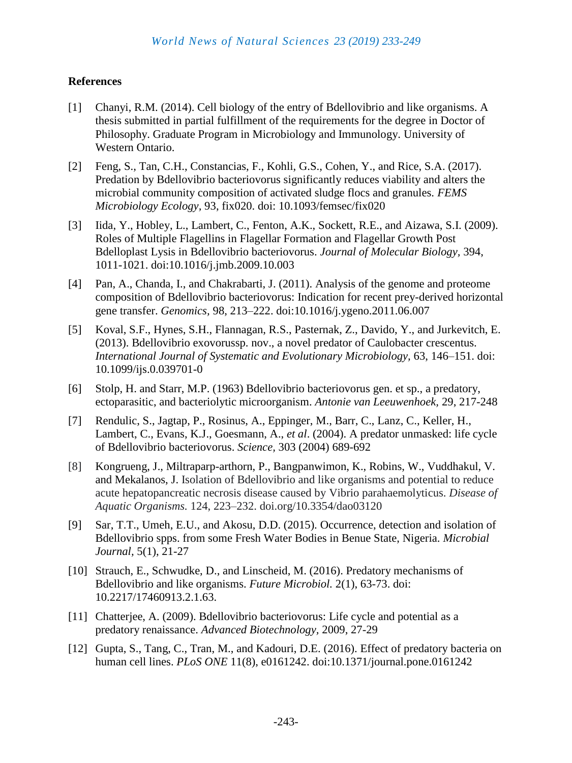## **References**

- [1] Chanyi, R.M. (2014). Cell biology of the entry of Bdellovibrio and like organisms. A thesis submitted in partial fulfillment of the requirements for the degree in Doctor of Philosophy. Graduate Program in Microbiology and Immunology. University of Western Ontario.
- [2] Feng, S., Tan, C.H., Constancias, F., Kohli, G.S., Cohen, Y., and Rice, S.A. (2017). Predation by Bdellovibrio bacteriovorus significantly reduces viability and alters the microbial community composition of activated sludge flocs and granules. *FEMS Microbiology Ecology,* 93, fix020. doi: 10.1093/femsec/fix020
- [3] Iida, Y., Hobley, L., Lambert, C., Fenton, A.K., Sockett, R.E., and Aizawa, S.I. (2009). Roles of Multiple Flagellins in Flagellar Formation and Flagellar Growth Post Bdelloplast Lysis in Bdellovibrio bacteriovorus. *Journal of Molecular Biology,* 394, 1011-1021. doi:10.1016/j.jmb.2009.10.003
- [4] Pan, A., Chanda, I., and Chakrabarti, J. (2011). Analysis of the genome and proteome composition of Bdellovibrio bacteriovorus: Indication for recent prey-derived horizontal gene transfer. *Genomics,* 98, 213–222. doi:10.1016/j.ygeno.2011.06.007
- [5] Koval, S.F., Hynes, S.H., Flannagan, R.S., Pasternak, Z., Davido, Y., and Jurkevitch, E. (2013). Bdellovibrio exovorussp. nov., a novel predator of Caulobacter crescentus. *International Journal of Systematic and Evolutionary Microbiology,* 63, 146–151. doi: 10.1099/ijs.0.039701-0
- [6] Stolp, H. and Starr, M.P. (1963) Bdellovibrio bacteriovorus gen. et sp., a predatory, ectoparasitic, and bacteriolytic microorganism. *Antonie van Leeuwenhoek,* 29, 217-248
- [7] Rendulic, S., Jagtap, P., Rosinus, A., Eppinger, M., Barr, C., Lanz, C., Keller, H., Lambert, C., Evans, K.J., Goesmann, A., *et al*. (2004). A predator unmasked: life cycle of Bdellovibrio bacteriovorus. *Science,* 303 (2004) 689-692
- [8] Kongrueng, J., Miltraparp-arthorn, P., Bangpanwimon, K., Robins, W., Vuddhakul, V. and Mekalanos, J. Isolation of Bdellovibrio and like organisms and potential to reduce acute hepatopancreatic necrosis disease caused by Vibrio parahaemolyticus. *Disease of Aquatic Organisms.* 124, 223–232. doi.org/10.3354/dao03120
- [9] Sar, T.T., Umeh, E.U., and Akosu, D.D. (2015). Occurrence, detection and isolation of Bdellovibrio spps. from some Fresh Water Bodies in Benue State, Nigeria. *Microbial Journal,* 5(1), 21-27
- [10] Strauch, E., Schwudke, D., and Linscheid, M. (2016). Predatory mechanisms of Bdellovibrio and like organisms. *Future Microbiol.* 2(1), 63-73. doi: 10.2217/17460913.2.1.63.
- [11] Chatterjee, A. (2009). Bdellovibrio bacteriovorus: Life cycle and potential as a predatory renaissance. *Advanced Biotechnology,* 2009, 27-29
- [12] Gupta, S., Tang, C., Tran, M., and Kadouri, D.E. (2016). Effect of predatory bacteria on human cell lines. *PLoS ONE* 11(8), e0161242. doi:10.1371/journal.pone.0161242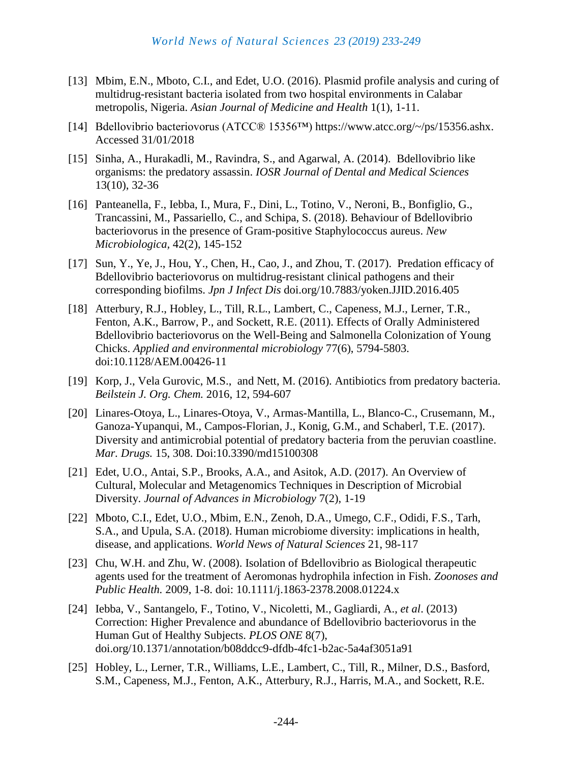- [13] Mbim, E.N., Mboto, C.I., and Edet, U.O. (2016). Plasmid profile analysis and curing of multidrug-resistant bacteria isolated from two hospital environments in Calabar metropolis, Nigeria. *Asian Journal of Medicine and Health* 1(1), 1-11.
- [14] Bdellovibrio bacteriovorus (ATCC® 15356™) [https://www.atcc.org/~/ps/15356.ashx.](https://www.google.com/url?sa=t&rct=j&q=&esrc=s&source=web&cd=2&ved=2ahUKEwj_z6qMqKDgAhWCJlAKHcKMBUUQFjABegQICBAC&url=https%3A%2F%2Fwww.atcc.org%2F~%2Fps%2F15356.ashx&usg=AOvVaw1_8TAI0J62k-l2FqwJ4qCl) Accessed 31/01/2018
- [15] Sinha, A., Hurakadli, M., Ravindra, S., and Agarwal, A. (2014). Bdellovibrio like organisms: the predatory assassin. *IOSR Journal of Dental and Medical Sciences* 13(10), 32-36
- [16] Panteanella, F., Iebba, I., Mura, F., Dini, L., Totino, V., Neroni, B., Bonfiglio, G., Trancassini, M., Passariello, C., and Schipa, S. (2018). Behaviour of Bdellovibrio bacteriovorus in the presence of Gram-positive Staphylococcus aureus. *New Microbiologica,* 42(2), 145-152
- [17] Sun, Y., Ye, J., Hou, Y., Chen, H., Cao, J., and Zhou, T. (2017). Predation efficacy of Bdellovibrio bacteriovorus on multidrug-resistant clinical pathogens and their corresponding biofilms. *Jpn J Infect Dis* doi.org/10.7883/yoken.JJID.2016.405
- [18] Atterbury, R.J., Hobley, L., Till, R.L., Lambert, C., Capeness, M.J., Lerner, T.R., Fenton, A.K., Barrow, P., and Sockett, R.E. (2011). Effects of Orally Administered Bdellovibrio bacteriovorus on the Well-Being and Salmonella Colonization of Young Chicks. *Applied and environmental microbiology* 77(6), 5794-5803. doi:10.1128/AEM.00426-11
- [19] Korp, J., Vela Gurovic, M.S., and Nett, M. (2016). Antibiotics from predatory bacteria. *Beilstein J. Org. Chem.* 2016, 12, 594-607
- [20] Linares-Otoya, L., Linares-Otoya, V., Armas-Mantilla, L., Blanco-C., Crusemann, M., Ganoza-Yupanqui, M., Campos-Florian, J., Konig, G.M., and Schaberl, T.E. (2017). Diversity and antimicrobial potential of predatory bacteria from the peruvian coastline. *Mar. Drugs.* 15, 308. Doi:10.3390/md15100308
- [21] Edet, U.O., Antai, S.P., Brooks, A.A., and Asitok, A.D. (2017). An Overview of Cultural, Molecular and Metagenomics Techniques in Description of Microbial Diversity. *Journal of Advances in Microbiology* 7(2), 1-19
- [22] Mboto, C.I., Edet, U.O., Mbim, E.N., Zenoh, D.A., Umego, C.F., Odidi, F.S., Tarh, S.A., and Upula, S.A. (2018). Human microbiome diversity: implications in health, disease, and applications. *World News of Natural Sciences* 21, 98-117
- [23] Chu, W.H. and Zhu, W. (2008). Isolation of Bdellovibrio as Biological therapeutic agents used for the treatment of Aeromonas hydrophila infection in Fish. *Zoonoses and Public Health.* 2009, 1-8. doi: 10.1111/j.1863-2378.2008.01224.x
- [24] Iebba, V., Santangelo, F., Totino, V., Nicoletti, M., Gagliardi, A., *et al*. (2013) Correction: Higher Prevalence and abundance of Bdellovibrio bacteriovorus in the Human Gut of Healthy Subjects. *PLOS ONE* 8(7), doi.org/10.1371/annotation/b08ddcc9-dfdb-4fc1-b2ac-5a4af3051a91
- [25] Hobley, L., Lerner, T.R., Williams, L.E., Lambert, C., Till, R., Milner, D.S., Basford, S.M., Capeness, M.J., Fenton, A.K., Atterbury, R.J., Harris, M.A., and Sockett, R.E.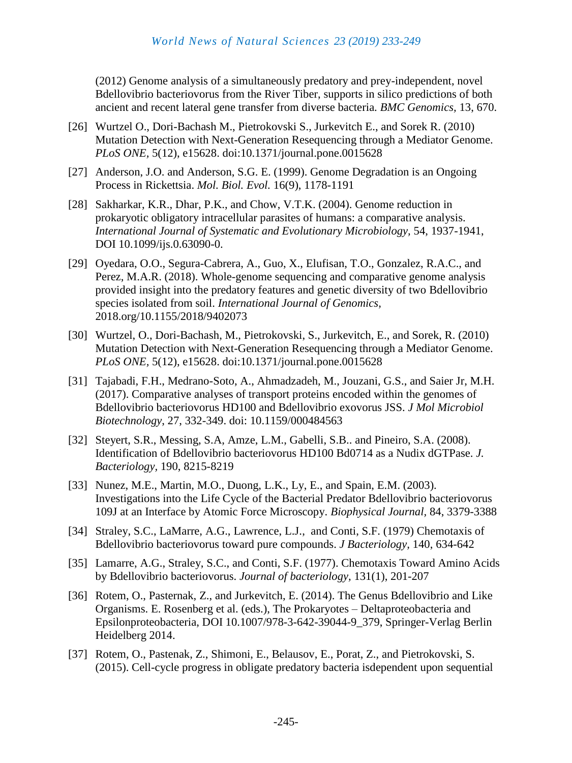(2012) Genome analysis of a simultaneously predatory and prey-independent, novel Bdellovibrio bacteriovorus from the River Tiber, supports in silico predictions of both ancient and recent lateral gene transfer from diverse bacteria. *BMC Genomics,* 13, 670.

- [26] Wurtzel O., Dori-Bachash M., Pietrokovski S., Jurkevitch E., and Sorek R. (2010) Mutation Detection with Next-Generation Resequencing through a Mediator Genome. *PLoS ONE,* 5(12), e15628. doi:10.1371/journal.pone.0015628
- [27] Anderson, J.O. and Anderson, S.G. E. (1999). Genome Degradation is an Ongoing Process in Rickettsia. *Mol. Biol. Evol.* 16(9), 1178-1191
- [28] Sakharkar, K.R., Dhar, P.K., and Chow, V.T.K. (2004). Genome reduction in prokaryotic obligatory intracellular parasites of humans: a comparative analysis. *International Journal of Systematic and Evolutionary Microbiology,* 54, 1937-1941, DOI 10.1099/ijs.0.63090-0.
- [29] Oyedara, O.O., Segura-Cabrera, A., Guo, X., Elufisan, T.O., Gonzalez, R.A.C., and Perez, M.A.R. (2018). Whole-genome sequencing and comparative genome analysis provided insight into the predatory features and genetic diversity of two Bdellovibrio species isolated from soil. *International Journal of Genomics,* 2018.org/10.1155/2018/9402073
- [30] Wurtzel, O., Dori-Bachash, M., Pietrokovski, S., Jurkevitch, E., and Sorek, R. (2010) Mutation Detection with Next-Generation Resequencing through a Mediator Genome. *PLoS ONE,* 5(12), e15628. doi:10.1371/journal.pone.0015628
- [31] Tajabadi, F.H., Medrano-Soto, A., Ahmadzadeh, M., Jouzani, G.S., and Saier Jr, M.H. (2017). Comparative analyses of transport proteins encoded within the genomes of Bdellovibrio bacteriovorus HD100 and Bdellovibrio exovorus JSS. *J Mol Microbiol Biotechnology*, 27, 332-349. doi: 10.1159/000484563
- [32] Steyert, S.R., Messing, S.A, Amze, L.M., Gabelli, S.B.. and Pineiro, S.A. (2008). Identification of Bdellovibrio bacteriovorus HD100 Bd0714 as a Nudix dGTPase. *J. Bacteriology,* 190, 8215-8219
- [33] Nunez, M.E., Martin, M.O., Duong, L.K., Ly, E., and Spain, E.M. (2003). Investigations into the Life Cycle of the Bacterial Predator Bdellovibrio bacteriovorus 109J at an Interface by Atomic Force Microscopy. *Biophysical Journal,* 84, 3379-3388
- [34] Straley, S.C., LaMarre, A.G., Lawrence, L.J., and Conti, S.F. (1979) Chemotaxis of Bdellovibrio bacteriovorus toward pure compounds. *J Bacteriology,* 140, 634-642
- [35] Lamarre, A.G., Straley, S.C., and Conti, S.F. (1977). Chemotaxis Toward Amino Acids by Bdellovibrio bacteriovorus. *Journal of bacteriology,* 131(1), 201-207
- [36] Rotem, O., Pasternak, Z., and Jurkevitch, E. (2014). The Genus Bdellovibrio and Like Organisms. E. Rosenberg et al. (eds.), The Prokaryotes – Deltaproteobacteria and Epsilonproteobacteria, DOI 10.1007/978-3-642-39044-9\_379, Springer-Verlag Berlin Heidelberg 2014.
- [37] Rotem, O., Pastenak, Z., Shimoni, E., Belausov, E., Porat, Z., and Pietrokovski, S. (2015). Cell-cycle progress in obligate predatory bacteria isdependent upon sequential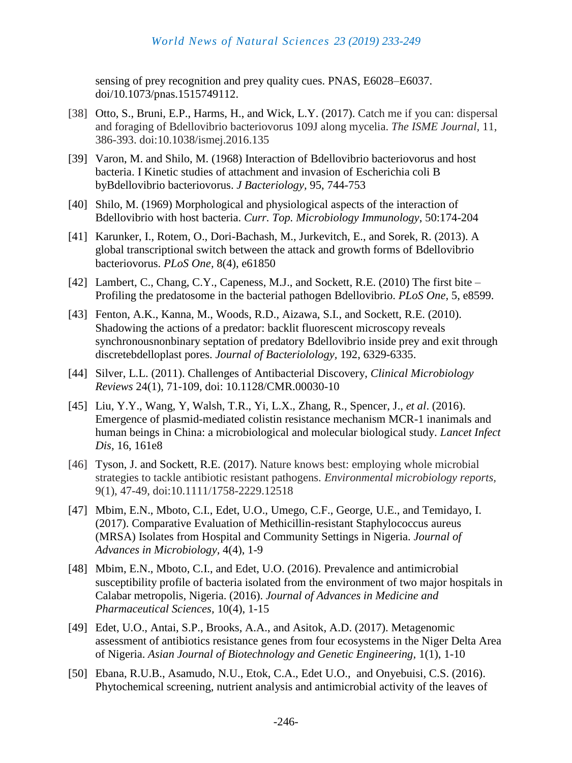sensing of prey recognition and prey quality cues. PNAS, E6028–E6037. doi/10.1073/pnas.1515749112.

- [38] Otto, S., Bruni, E.P., Harms, H., and Wick, L.Y. (2017). Catch me if you can: dispersal and foraging of Bdellovibrio bacteriovorus 109J along mycelia. *The ISME Journal,* 11, 386-393. doi:10.1038/ismej.2016.135
- [39] Varon, M. and Shilo, M. (1968) Interaction of Bdellovibrio bacteriovorus and host bacteria. I Kinetic studies of attachment and invasion of Escherichia coli B byBdellovibrio bacteriovorus. *J Bacteriology,* 95, 744-753
- [40] Shilo, M. (1969) Morphological and physiological aspects of the interaction of Bdellovibrio with host bacteria. *Curr. Top. Microbiology Immunology*, 50:174-204
- [41] Karunker, I., Rotem, O., Dori-Bachash, M., Jurkevitch, E., and Sorek, R. (2013). A global transcriptional switch between the attack and growth forms of Bdellovibrio bacteriovorus. *[PLoS One,](https://www.ncbi.nlm.nih.gov/pmc/articles/PMC3627812/)* 8(4), e61850
- [42] Lambert, C., Chang, C.Y., Capeness, M.J., and Sockett, R.E. (2010) The first bite Profiling the predatosome in the bacterial pathogen Bdellovibrio. *PLoS One,* 5, e8599.
- [43] Fenton, A.K., Kanna, M., Woods, R.D., Aizawa, S.I., and Sockett, R.E. (2010). Shadowing the actions of a predator: backlit fluorescent microscopy reveals synchronousnonbinary septation of predatory Bdellovibrio inside prey and exit through discretebdelloplast pores. *Journal of Bacteriolology,* 192, 6329-6335.
- [44] Silver, L.L. (2011). Challenges of Antibacterial Discovery, *Clinical Microbiology Reviews* 24(1), 71-109, doi: 10.1128/CMR.00030-10
- [45] Liu, Y.Y., Wang, Y, Walsh, T.R., Yi, L.X., Zhang, R., Spencer, J., *et al*. (2016). Emergence of plasmid-mediated colistin resistance mechanism MCR-1 inanimals and human beings in China: a microbiological and molecular biological study. *Lancet Infect Dis,* 16, 161e8
- [46] Tyson, J. and Sockett, R.E. (2017). Nature knows best: employing whole microbial strategies to tackle antibiotic resistant pathogens. *Environmental microbiology reports,* 9(1), 47-49, doi:10.1111/1758-2229.12518
- [47] Mbim, E.N., Mboto, C.I., Edet, U.O., Umego, C.F., George, U.E., and Temidayo, I. (2017). Comparative Evaluation of Methicillin-resistant Staphylococcus aureus (MRSA) Isolates from Hospital and Community Settings in Nigeria. *Journal of Advances in Microbiology,* 4(4), 1-9
- [48] Mbim, E.N., Mboto, C.I., and Edet, U.O. (2016). Prevalence and antimicrobial susceptibility profile of bacteria isolated from the environment of two major hospitals in Calabar metropolis, Nigeria. (2016). *Journal of Advances in Medicine and Pharmaceutical Sciences,* 10(4), 1-15
- [49] Edet, U.O., Antai, S.P., Brooks, A.A., and Asitok, A.D. (2017). Metagenomic assessment of antibiotics resistance genes from four ecosystems in the Niger Delta Area of Nigeria. *Asian Journal of Biotechnology and Genetic Engineering,* 1(1), 1-10
- [50] Ebana, R.U.B., Asamudo, N.U., Etok, C.A., Edet U.O., and Onyebuisi, C.S. (2016). Phytochemical screening, nutrient analysis and antimicrobial activity of the leaves of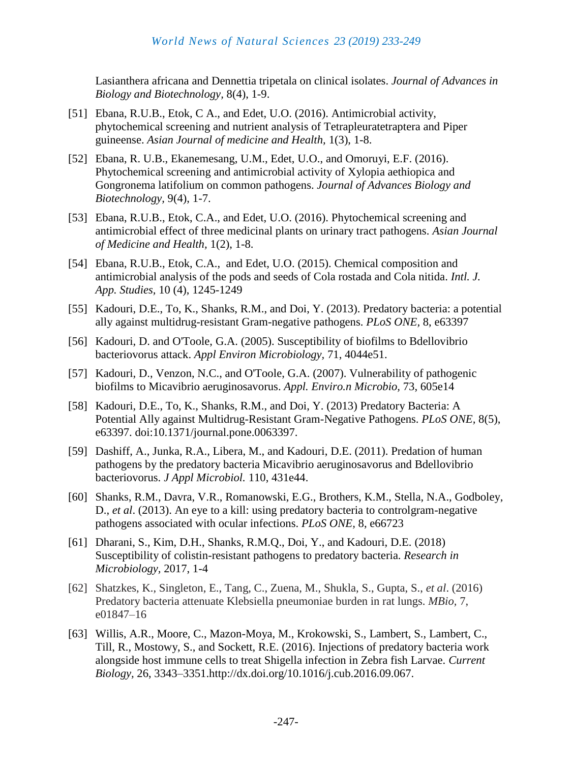Lasianthera africana and Dennettia tripetala on clinical isolates. *Journal of Advances in Biology and Biotechnology,* 8(4), 1-9.

- [51] Ebana, R.U.B., Etok, C A., and Edet, U.O. (2016). Antimicrobial activity, phytochemical screening and nutrient analysis of Tetrapleuratetraptera and Piper guineense. *Asian Journal of medicine and Health,* 1(3), 1-8.
- [52] Ebana, R. U.B., Ekanemesang, U.M., Edet, U.O., and Omoruyi, E.F. (2016). Phytochemical screening and antimicrobial activity of Xylopia aethiopica and Gongronema latifolium on common pathogens. *Journal of Advances Biology and Biotechnology,* 9(4), 1-7.
- [53] Ebana, R.U.B., Etok, C.A., and Edet, U.O. (2016). Phytochemical screening and antimicrobial effect of three medicinal plants on urinary tract pathogens. *Asian Journal of Medicine and Health,* 1(2), 1-8.
- [54] Ebana, R.U.B., Etok, C.A., and Edet, U.O. (2015). Chemical composition and antimicrobial analysis of the pods and seeds of Cola rostada and Cola nitida. *Intl. J. App. Studies,* 10 (4), 1245-1249
- [55] Kadouri, D.E., To, K., Shanks, R.M., and Doi, Y. (2013). Predatory bacteria: a potential ally against multidrug-resistant Gram-negative pathogens. *PLoS ONE,* 8, e63397
- [56] Kadouri, D. and O'Toole, G.A. (2005). Susceptibility of biofilms to Bdellovibrio bacteriovorus attack. *Appl Environ Microbiology,* 71, 4044e51.
- [57] Kadouri, D., Venzon, N.C., and O'Toole, G.A. (2007). Vulnerability of pathogenic biofilms to Micavibrio aeruginosavorus. *Appl. Enviro.n Microbio,* 73, 605e14
- [58] Kadouri, D.E., To, K., Shanks, R.M., and Doi, Y. (2013) Predatory Bacteria: A Potential Ally against Multidrug-Resistant Gram-Negative Pathogens. *PLoS ONE,* 8(5), e63397. doi:10.1371/journal.pone.0063397.
- [59] Dashiff, A., Junka, R.A., Libera, M., and Kadouri, D.E. (2011). Predation of human pathogens by the predatory bacteria Micavibrio aeruginosavorus and Bdellovibrio bacteriovorus. *J Appl Microbiol.* 110, 431e44.
- [60] Shanks, R.M., Davra, V.R., Romanowski, E.G., Brothers, K.M., Stella, N.A., Godboley, D., *et al*. (2013). An eye to a kill: using predatory bacteria to controlgram-negative pathogens associated with ocular infections. *PLoS ONE,* 8, e66723
- [61] Dharani, S., Kim, D.H., Shanks, R.M.Q., Doi, Y., and Kadouri, D.E. (2018) Susceptibility of colistin-resistant pathogens to predatory bacteria. *Research in Microbiology,* 2017, 1-4
- [62] Shatzkes, K., Singleton, E., Tang, C., Zuena, M., Shukla, S., Gupta, S., *et al*. (2016) Predatory bacteria attenuate Klebsiella pneumoniae burden in rat lungs. *MBio,* 7, e01847–16
- [63] Willis, A.R., Moore, C., Mazon-Moya, M., Krokowski, S., Lambert, S., Lambert, C., Till, R., Mostowy, S., and Sockett, R.E. (2016). Injections of predatory bacteria work alongside host immune cells to treat Shigella infection in Zebra fish Larvae. *Current Biology,* 26, 3343–3351.http://dx.doi.org/10.1016/j.cub.2016.09.067.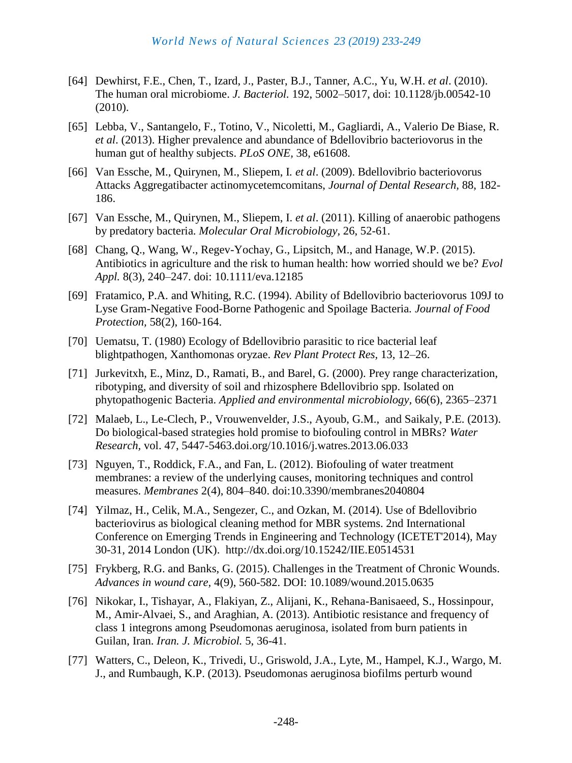- [64] Dewhirst, F.E., Chen, T., Izard, J., Paster, B.J., Tanner, A.C., Yu, W.H. *et al*. (2010). The human oral microbiome. *J. Bacteriol.* 192, 5002–5017, doi: 10.1128/jb.00542-10 (2010).
- [65] Lebba, V., Santangelo, F., Totino, V., Nicoletti, M., Gagliardi, A., Valerio De Biase, R. *et al*. (2013). Higher prevalence and abundance of Bdellovibrio bacteriovorus in the human gut of healthy subjects. *PLoS ONE,* 38, e61608.
- [66] Van Essche, M., Quirynen, M., Sliepem, I*. et al*. (2009). Bdellovibrio bacteriovorus Attacks Aggregatibacter actinomycetemcomitans, *Journal of Dental Research,* 88, 182- 186.
- [67] Van Essche, M., Quirynen, M., Sliepem, I. *et al*. (2011). Killing of anaerobic pathogens by predatory bacteria. *Molecular Oral Microbiology,* 26, 52-61.
- [68] Chang, Q., Wang, W., Regev-Yochay, G., Lipsitch, M., and Hanage, W.P. (2015). Antibiotics in agriculture and the risk to human health: how worried should we be? *Evol Appl.* 8(3), 240–247. doi: 10.1111/eva.12185
- [69] Fratamico, P.A. and Whiting, R.C. (1994). Ability of Bdellovibrio bacteriovorus 109J to Lyse Gram-Negative Food-Borne Pathogenic and Spoilage Bacteria. *Journal of Food Protection,* 58(2), 160-164.
- [70] Uematsu, T. (1980) Ecology of Bdellovibrio parasitic to rice bacterial leaf blightpathogen, Xanthomonas oryzae. *Rev Plant Protect Res,* 13, 12–26.
- [71] Jurkevitxh, E., Minz, D., Ramati, B., and Barel, G. (2000). Prey range characterization, ribotyping, and diversity of soil and rhizosphere Bdellovibrio spp. Isolated on phytopathogenic Bacteria. *Applied and environmental microbiology,* 66(6), 2365–2371
- [72] Malaeb, L., Le-Clech, P., Vrouwenvelder, J.S., Ayoub, G.M., and Saikaly, P.E. (2013). Do biological-based strategies hold promise to biofouling control in MBRs? *Water Research,* vol. 47, 5447-5463.doi.org/10.1016/j.watres.2013.06.033
- [73] Nguyen, T., Roddick, F.A., and Fan, L. (2012). Biofouling of water treatment membranes: a review of the underlying causes, monitoring techniques and control measures. *Membranes* 2(4), 804–840. doi:10.3390/membranes2040804
- [74] Yilmaz, H., Celik, M.A., Sengezer, C., and Ozkan, M. (2014). Use of Bdellovibrio bacteriovirus as biological cleaning method for MBR systems. 2nd International Conference on Emerging Trends in Engineering and Technology (ICETET'2014), May 30-31, 2014 London (UK). http://dx.doi.org/10.15242/IIE.E0514531
- [75] Frykberg, R.G. and Banks, G. (2015). Challenges in the Treatment of Chronic Wounds. *Advances in wound care,* 4(9), 560-582. DOI: 10.1089/wound.2015.0635
- [76] Nikokar, I., Tishayar, A., Flakiyan, Z., Alijani, K., Rehana-Banisaeed, S., Hossinpour, M., Amir-Alvaei, S., and Araghian, A. (2013). Antibiotic resistance and frequency of class 1 integrons among Pseudomonas aeruginosa, isolated from burn patients in Guilan, Iran. *Iran. J. Microbiol.* 5, 36-41.
- [77] Watters, C., Deleon, K., Trivedi, U., Griswold, J.A., Lyte, M., Hampel, K.J., Wargo, M. J., and Rumbaugh, K.P. (2013). Pseudomonas aeruginosa biofilms perturb wound